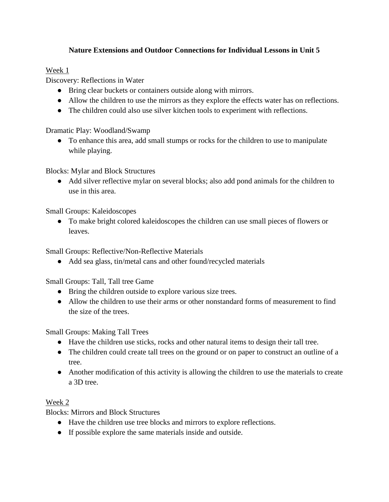# **Nature Extensions and Outdoor Connections for Individual Lessons in Unit 5**

### Week 1

Discovery: Reflections in Water

- Bring clear buckets or containers outside along with mirrors.
- Allow the children to use the mirrors as they explore the effects water has on reflections.
- The children could also use silver kitchen tools to experiment with reflections.

Dramatic Play: Woodland/Swamp

• To enhance this area, add small stumps or rocks for the children to use to manipulate while playing.

Blocks: Mylar and Block Structures

● Add silver reflective mylar on several blocks; also add pond animals for the children to use in this area.

Small Groups: Kaleidoscopes

● To make bright colored kaleidoscopes the children can use small pieces of flowers or leaves.

Small Groups: Reflective/Non-Reflective Materials

● Add sea glass, tin/metal cans and other found/recycled materials

Small Groups: Tall, Tall tree Game

- Bring the children outside to explore various size trees.
- Allow the children to use their arms or other nonstandard forms of measurement to find the size of the trees.

Small Groups: Making Tall Trees

- Have the children use sticks, rocks and other natural items to design their tall tree.
- The children could create tall trees on the ground or on paper to construct an outline of a tree.
- Another modification of this activity is allowing the children to use the materials to create a 3D tree.

# Week 2

Blocks: Mirrors and Block Structures

- Have the children use tree blocks and mirrors to explore reflections.
- If possible explore the same materials inside and outside.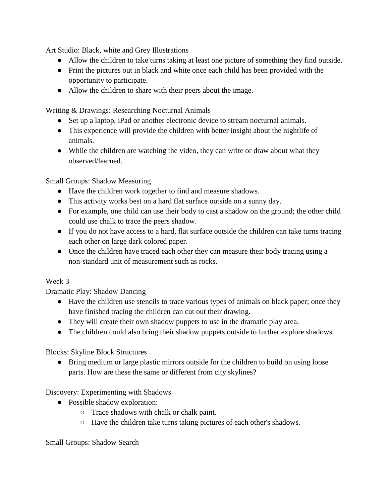Art Studio: Black, white and Grey Illustrations

- Allow the children to take turns taking at least one picture of something they find outside.
- Print the pictures out in black and white once each child has been provided with the opportunity to participate.
- Allow the children to share with their peers about the image.

Writing & Drawings: Researching Nocturnal Animals

- Set up a laptop, iPad or another electronic device to stream nocturnal animals.
- This experience will provide the children with better insight about the nightlife of animals.
- While the children are watching the video, they can write or draw about what they observed/learned.

Small Groups: Shadow Measuring

- Have the children work together to find and measure shadows.
- This activity works best on a hard flat surface outside on a sunny day.
- For example, one child can use their body to cast a shadow on the ground; the other child could use chalk to trace the peers shadow.
- If you do not have access to a hard, flat surface outside the children can take turns tracing each other on large dark colored paper.
- Once the children have traced each other they can measure their body tracing using a non-standard unit of measurement such as rocks.

# Week 3

Dramatic Play: Shadow Dancing

- Have the children use stencils to trace various types of animals on black paper; once they have finished tracing the children can cut out their drawing.
- They will create their own shadow puppets to use in the dramatic play area.
- The children could also bring their shadow puppets outside to further explore shadows.

Blocks: Skyline Block Structures

● Bring medium or large plastic mirrors outside for the children to build on using loose parts. How are these the same or different from city skylines?

Discovery: Experimenting with Shadows

- Possible shadow exploration:
	- Trace shadows with chalk or chalk paint.
	- Have the children take turns taking pictures of each other's shadows.

Small Groups: Shadow Search